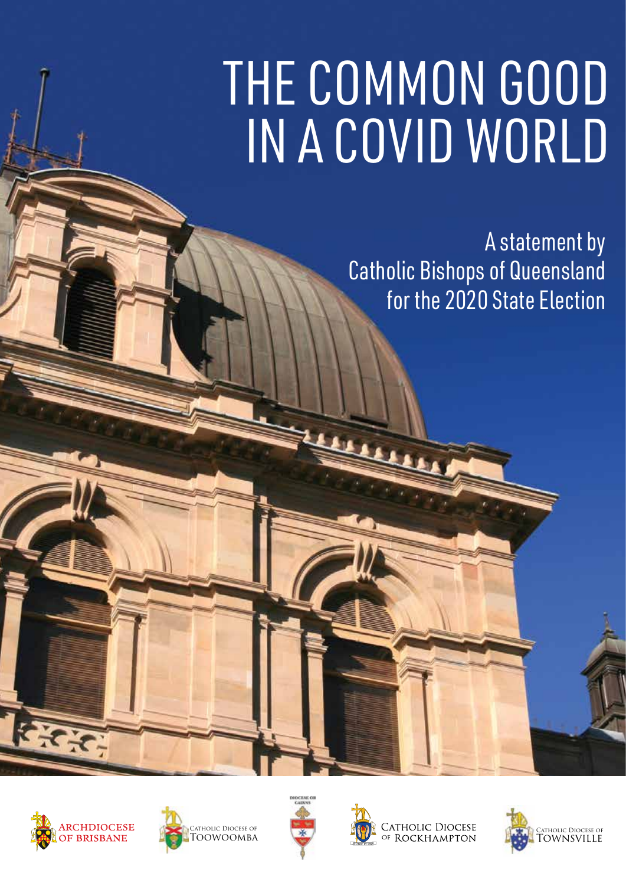#### It shapes how we live our lives in public, as well as how we relate to God in more Politics can at times be the object of criticism, even scorn, but it is an arena in where  $\sim$  can express our faith and therefore  $\sim$ will run high. But despite difficult and sometimes hostile debates, Australia and Queensland are blessed to have peaceful contests, free of the violence known in other countries. THE COMMON GOOD IN A COVID WORLD

find a way beyond it.

indifference.

nations at this time.

the image of God and therefore deserve our deserve our deserve our deserve our deserve our deserve our deserve **Catholic Bishops of Queensland For the 2020 State Election** solidarity both to deal with the pandemic and

We all have a role in building that solidarity is the solidarity of the solidarity of the solidarity of the solidarity of the solidarity of the solidarity of the solidarity of the solidarity of the solidarity of the solida

 $A$ ustralians with love  $\mathcal{A}$ 

 $-$  which means speaking to our fellows speaking to our fellows  $\mathcal{L}$ 

not contempt, with understanding not

 $\mathbb{R}$  in the more open, in the more open, in and engaged in order to combat the crude tribalism that is infecting Australia and other

Prayer is an essential part of the process of discussion in the vote of the second second second second second second second second second second second second second second second second second second second second second second second second second second second sec  $t$  is a greater truth and allowing the set of  $\mathbb{R}$ truth to enter us more deep that the control of the control of the control of the control of the control of the processes stripped of transcendent truth risk becoming soulless, with majorities deciding issues based solely on power rather than the consideration of truth and the common good.



 $E_{\mathcal{F}}$ 

the truth of our humanity.

benefit of the whole community.

prepare for the State election.

The ongoing reveal of child sexual sexual sexual sexual sexual sexual sexual sexual sexual sexual sexual sexual abuse have undermined the credibility of the Catholic Church, and particularly the credibility of bishops. We have no monopoly on truth, but we offer these reflections in a spirit of solidarity, as people who also

 $\mathbf{h}$  to consider our vote case  $\mathbf{h}$ draw upon a deep wisdom concerning the second state of the second state of the second state of the second state of the second state of the second state of the second state of the second state of the second state of the sec common good and who are called to care for the called to care for the called to care for

the most vulnerable in our community.

teaching, but we can point to contact the contact of the contact of the contact of the contact of the contact of the contact of the contact of the contact of the contact of the contact of the contact of the contact of the

the kind of responsible judgements that allow us to be both faithful Catholics and the both faithful Catholics and the both faithful Catholics and the

social teaching is provided on the page

following this statement.

No political party fully aligns with Catholic

enduring principles which can help us make

good citizens. A brief explanation of Catholic Catholic Catholic Catholic Catholic Catholic Catholic Catholic

will be contributed by  $\mathbb{R}$ 

 $\mathcal{L} = \mathcal{L} \mathcal{L}$ opportunity to participate in the electoral process, the use of the use of the use of the use of the use of the use of the use of the use of the use of the

 $A \sim 1$ of sharing key points of Catholic teaching  $t \geq 0$  want to reflect upon as we want to reflect upon  $\mathbf{v}$ 







CATHOLIC DIOCESE<br>OF ROCKHAMPTON

Our democracy needs the active

participation of all its citizens – Catholic or Catholic or Catholic or Catholic or Catholic or Catholic or Ca not, religious or not. It is only and the subset of the subset of the subset of the subset of the subset of the as citizens to advocate for the good of the

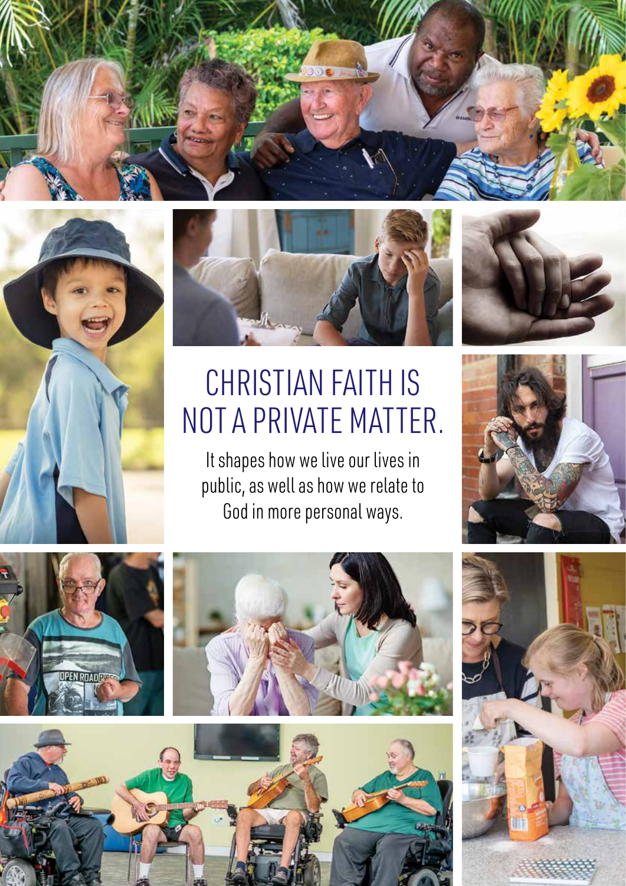





# CHRISTIAN FAITH IS NOT A PRIVATE MATTER.

It shapes how we live our lives in public, as well as how we relate to God in more personal ways.





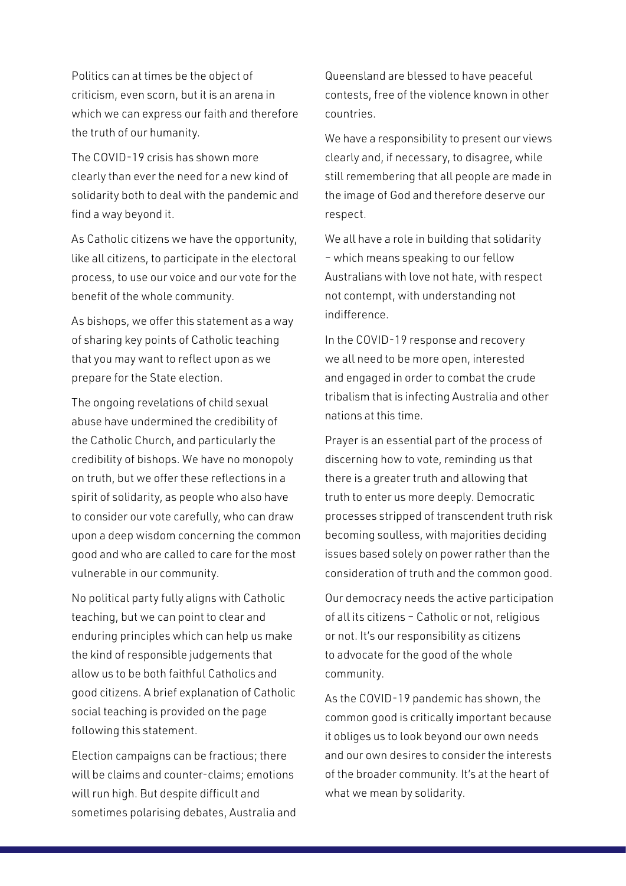Politics can at times be the object of criticism, even scorn, but it is an arena in which we can express our faith and therefore the truth of our humanity.

The COVID-19 crisis has shown more clearly than ever the need for a new kind of solidarity both to deal with the pandemic and find a way beyond it.

As Catholic citizens we have the opportunity, like all citizens, to participate in the electoral process, to use our voice and our vote for the benefit of the whole community.

As bishops, we offer this statement as a way of sharing key points of Catholic teaching that you may want to reflect upon as we prepare for the State election.

The ongoing revelations of child sexual abuse have undermined the credibility of the Catholic Church, and particularly the credibility of bishops. We have no monopoly on truth, but we offer these reflections in a spirit of solidarity, as people who also have to consider our vote carefully, who can draw upon a deep wisdom concerning the common good and who are called to care for the most vulnerable in our community.

No political party fully aligns with Catholic teaching, but we can point to clear and enduring principles which can help us make the kind of responsible judgements that allow us to be both faithful Catholics and good citizens. A brief explanation of Catholic social teaching is provided on the page following this statement.

Election campaigns can be fractious; there will be claims and counter-claims; emotions will run high. But despite difficult and sometimes polarising debates, Australia and

Queensland are blessed to have peaceful contests, free of the violence known in other countries.

We have a responsibility to present our views clearly and, if necessary, to disagree, while still remembering that all people are made in the image of God and therefore deserve our respect.

We all have a role in building that solidarity – which means speaking to our fellow Australians with love not hate, with respect not contempt, with understanding not indifference.

In the COVID-19 response and recovery we all need to be more open, interested and engaged in order to combat the crude tribalism that is infecting Australia and other nations at this time.

Prayer is an essential part of the process of discerning how to vote, reminding us that there is a greater truth and allowing that truth to enter us more deeply. Democratic processes stripped of transcendent truth risk becoming soulless, with majorities deciding issues based solely on power rather than the consideration of truth and the common good.

Our democracy needs the active participation of all its citizens – Catholic or not, religious or not. It's our responsibility as citizens to advocate for the good of the whole community.

As the COVID-19 pandemic has shown, the common good is critically important because it obliges us to look beyond our own needs and our own desires to consider the interests of the broader community. It's at the heart of what we mean by solidarity.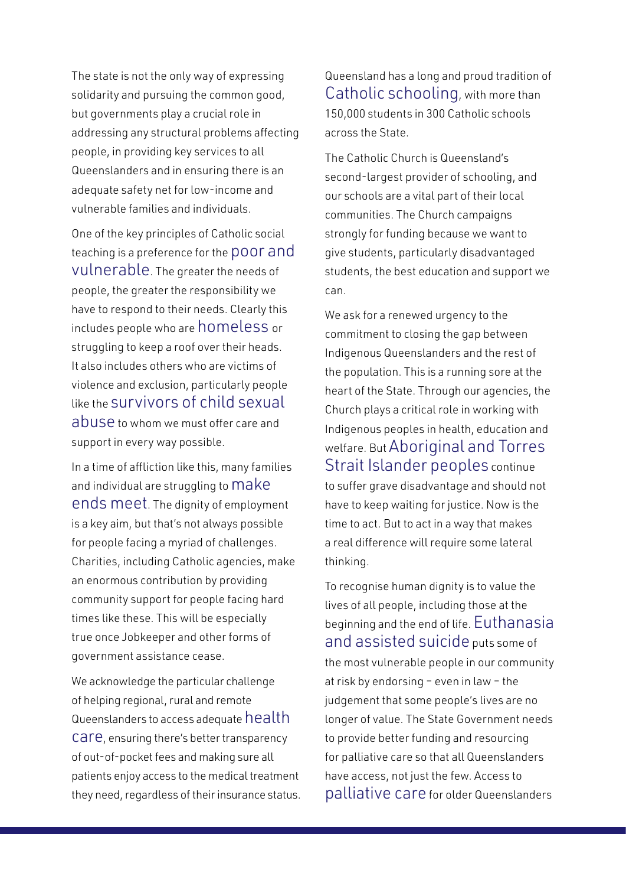The state is not the only way of expressing solidarity and pursuing the common good, but governments play a crucial role in addressing any structural problems affecting people, in providing key services to all Queenslanders and in ensuring there is an adequate safety net for low-income and vulnerable families and individuals.

One of the key principles of Catholic social teaching is a preference for the poor and vulnerable. The greater the needs of people, the greater the responsibility we have to respond to their needs. Clearly this includes people who are homeless or struggling to keep a roof over their heads. It also includes others who are victims of violence and exclusion, particularly people like the survivors of child sexual abuse to whom we must offer care and support in every way possible.

In a time of affliction like this, many families and individual are struggling to Make ends meet. The dignity of employment is a key aim, but that's not always possible for people facing a myriad of challenges. Charities, including Catholic agencies, make an enormous contribution by providing community support for people facing hard times like these. This will be especially true once Jobkeeper and other forms of government assistance cease.

We acknowledge the particular challenge of helping regional, rural and remote Queenslanders to access adequate health care, ensuring there's better transparency of out-of-pocket fees and making sure all patients enjoy access to the medical treatment they need, regardless of their insurance status.

Queensland has a long and proud tradition of Catholic schooling, with more than 150,000 students in 300 Catholic schools across the State.

The Catholic Church is Queensland's second-largest provider of schooling, and our schools are a vital part of their local communities. The Church campaigns strongly for funding because we want to give students, particularly disadvantaged students, the best education and support we can.

We ask for a renewed urgency to the commitment to closing the gap between Indigenous Queenslanders and the rest of the population. This is a running sore at the heart of the State. Through our agencies, the Church plays a critical role in working with Indigenous peoples in health, education and welfare. But Aboriginal and Torres Strait Islander peoples continue to suffer grave disadvantage and should not have to keep waiting for justice. Now is the time to act. But to act in a way that makes a real difference will require some lateral thinking.

To recognise human dignity is to value the lives of all people, including those at the beginning and the end of life. Euthanasia and assisted suicide puts some of the most vulnerable people in our community at risk by endorsing – even in law – the judgement that some people's lives are no longer of value. The State Government needs to provide better funding and resourcing for palliative care so that all Queenslanders have access, not just the few. Access to palliative care for older Queenslanders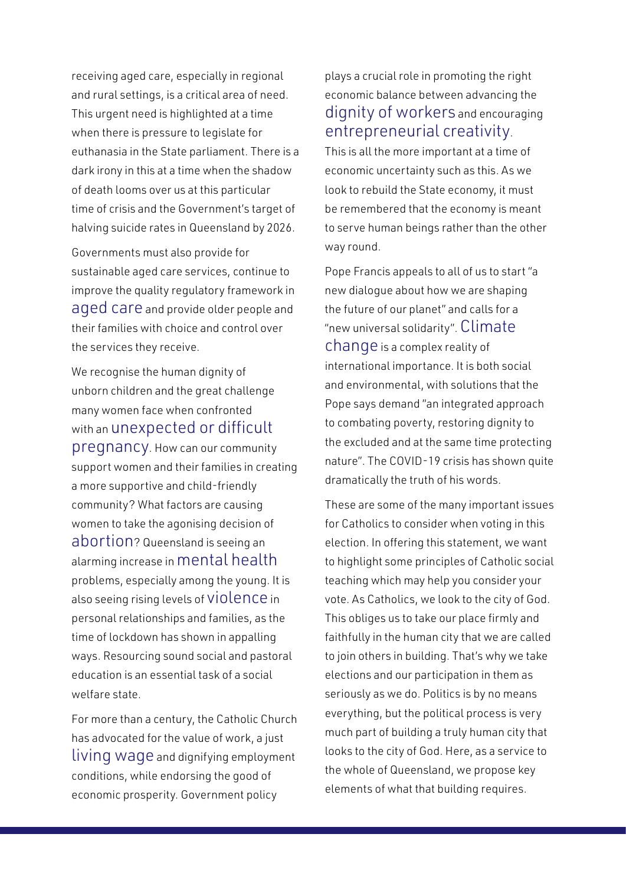receiving aged care, especially in regional and rural settings, is a critical area of need. This urgent need is highlighted at a time when there is pressure to legislate for euthanasia in the State parliament. There is a dark irony in this at a time when the shadow of death looms over us at this particular time of crisis and the Government's target of halving suicide rates in Queensland by 2026.

Governments must also provide for sustainable aged care services, continue to improve the quality regulatory framework in aged care and provide older people and their families with choice and control over the services they receive.

We recognise the human dignity of unborn children and the great challenge many women face when confronted with an unexpected or difficult pregnancy. How can our community support women and their families in creating a more supportive and child-friendly community? What factors are causing women to take the agonising decision of abortion? Queensland is seeing an alarming increase in mental health problems, especially among the young. It is also seeing rising levels of violence in personal relationships and families, as the time of lockdown has shown in appalling ways. Resourcing sound social and pastoral education is an essential task of a social welfare state.

For more than a century, the Catholic Church has advocated for the value of work, a just living wage and dignifying employment conditions, while endorsing the good of economic prosperity. Government policy

plays a crucial role in promoting the right economic balance between advancing the dignity of workers and encouraging entrepreneurial creativity.

This is all the more important at a time of economic uncertainty such as this. As we look to rebuild the State economy, it must be remembered that the economy is meant to serve human beings rather than the other way round.

Pope Francis appeals to all of us to start "a new dialogue about how we are shaping the future of our planet" and calls for a "new universal solidarity". Climate change is a complex reality of international importance. It is both social and environmental, with solutions that the Pope says demand "an integrated approach to combating poverty, restoring dignity to the excluded and at the same time protecting nature". The COVID-19 crisis has shown quite dramatically the truth of his words.

These are some of the many important issues for Catholics to consider when voting in this election. In offering this statement, we want to highlight some principles of Catholic social teaching which may help you consider your vote. As Catholics, we look to the city of God. This obliges us to take our place firmly and faithfully in the human city that we are called to join others in building. That's why we take elections and our participation in them as seriously as we do. Politics is by no means everything, but the political process is very much part of building a truly human city that looks to the city of God. Here, as a service to the whole of Queensland, we propose key elements of what that building requires.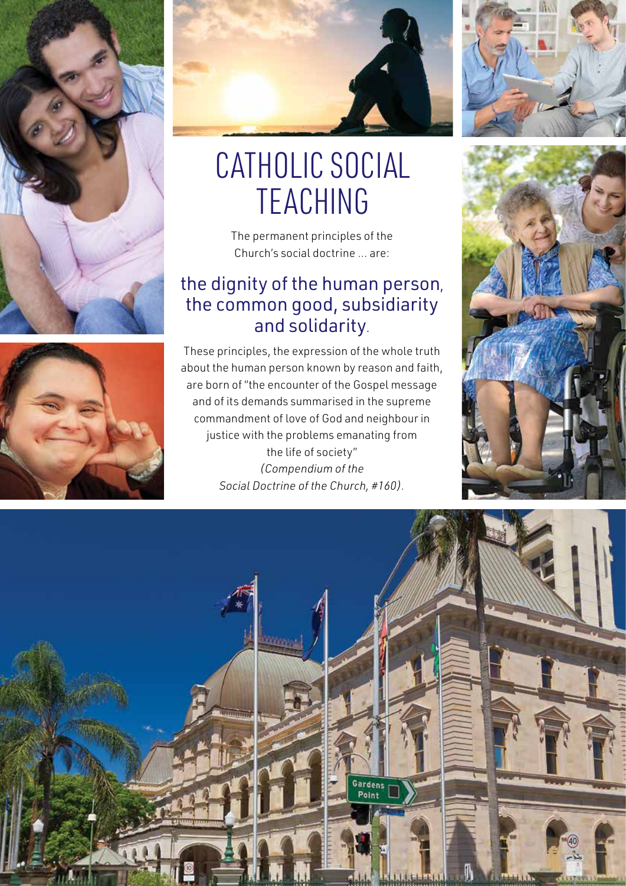



# CATHOLIC SOCIAL TEACHING

The permanent principles of the Church's social doctrine … are:

#### the dignity of the human person, the common good, subsidiarity and solidarity.

These principles, the expression of the whole truth about the human person known by reason and faith, are born of "the encounter of the Gospel message and of its demands summarised in the supreme commandment of love of God and neighbour in justice with the problems emanating from the life of society" *(Compendium of the Social Doctrine of the Church, #160).*





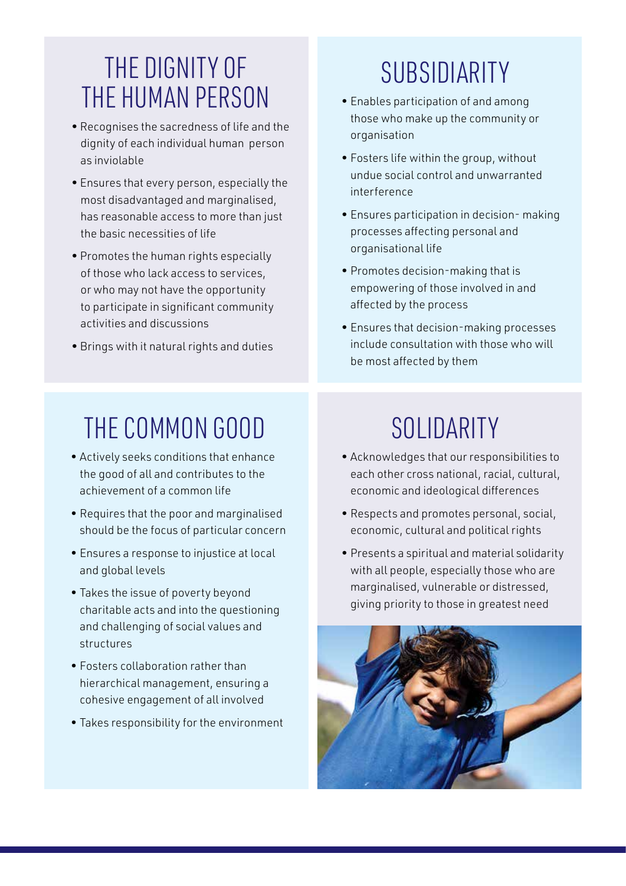#### THE DIGNITY OF THE HUMAN PERSON

- Recognises the sacredness of life and the dignity of each individual human person as inviolable
- Ensures that every person, especially the most disadvantaged and marginalised, has reasonable access to more than just the basic necessities of life
- Promotes the human rights especially of those who lack access to services, or who may not have the opportunity to participate in significant community activities and discussions
- Brings with it natural rights and duties

## SUBSIDIARITY

- Enables participation of and among those who make up the community or organisation
- Fosters life within the group, without undue social control and unwarranted interference
- Ensures participation in decision- making processes affecting personal and organisational life
- Promotes decision-making that is empowering of those involved in and affected by the process
- Ensures that decision-making processes include consultation with those who will be most affected by them

### THE COMMON GOOD

- Actively seeks conditions that enhance the good of all and contributes to the achievement of a common life
- Requires that the poor and marginalised should be the focus of particular concern
- Ensures a response to injustice at local and global levels
- Takes the issue of poverty beyond charitable acts and into the questioning and challenging of social values and structures
- Fosters collaboration rather than hierarchical management, ensuring a cohesive engagement of all involved
- Takes responsibility for the environment

### SOLIDARITY

- Acknowledges that our responsibilities to each other cross national, racial, cultural, economic and ideological differences
- Respects and promotes personal, social, economic, cultural and political rights
- Presents a spiritual and material solidarity with all people, especially those who are marginalised, vulnerable or distressed, giving priority to those in greatest need